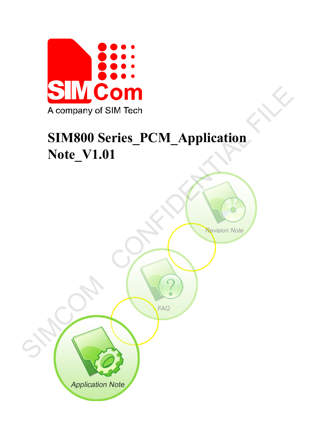

# **SIM800 Series\_PCM\_Application Note\_V1.01**

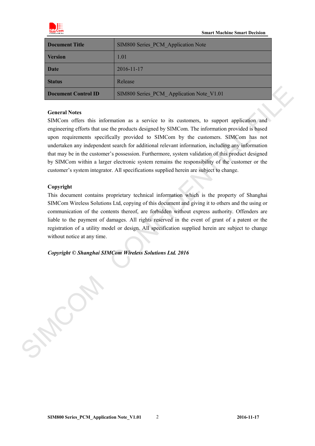

| Document Title      | SIM800 Series PCM Application Note       |
|---------------------|------------------------------------------|
| <b>Version</b>      | 1.01                                     |
| <b>Date</b>         | $2016 - 11 - 17$                         |
| <b>Status</b>       | Release                                  |
| Document Control ID | SIM800 Series PCM Application Note V1.01 |

#### **General Notes**

SIMCom offers this information as a service to its customers, to support application and engineering efforts that use the products designed by SIMCom. The information provided is based upon requirements specifically provided to SIMCom by the customers. SIMCom has not undertaken any independent search for additional relevant information, including any information that may be in the customer's possession. Furthermore, system validation of this product designed by SIMCom within a larger electronic system remains the responsibility of the customer or the customer's system integrator. All specifications supplied herein are subject to change. **Denument Control ID**<br>
SIMS00 Scries PCM\_Application Note V1.01<br>
General Notes<br>
SIMCom offers this information as a service to its customers, to support application and<br>
engineering efforts that as the protocta designed b

#### **Copyright**

This document contains proprietary technical information which is the property of Shanghai SIMCom Wireless Solutions Ltd, copying of this document and giving it to others and the using or communication of the contents thereof, are forbidden without express authority. Offenders are liable to the payment of damages. All rights reserved in the event of grant of a patent or the registration of a utility model or design. All specification supplied herein are subject to change without notice at any time.

*Copyright © Shanghai SIMCom Wireless Solutions Ltd. 2016*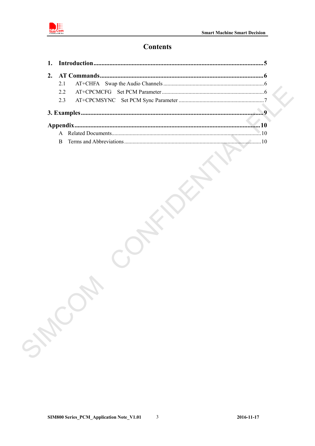

## **Contents**

| 2.3 |  |
|-----|--|
|     |  |
|     |  |
|     |  |
|     |  |
|     |  |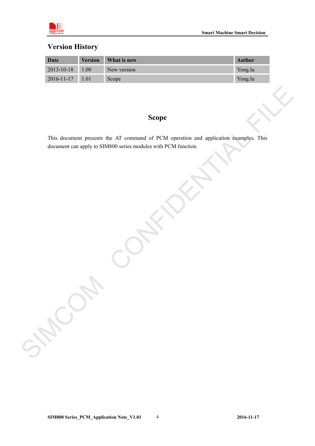

## **Version History**

| Date                  | <b>Version</b> | What is new | <b>Author</b> |
|-----------------------|----------------|-------------|---------------|
| 2013-10-18 1.00       |                | New version | Yong.lu       |
| $2016 - 11 - 17$ 1.01 |                | Scope       | Yong.lu       |

## **Scope**

This document presents the AT command of PCM operation and application examples. This document can apply to SIM800 series modules with PCM function. Scope<br>
This document are apply to SIMS00 series modules with PCM function.<br>
document are apply to SIMS00 series modules with PCM function.<br>
And the Confident of the CM of the CM of the CM of the CM of the CM of the CM of t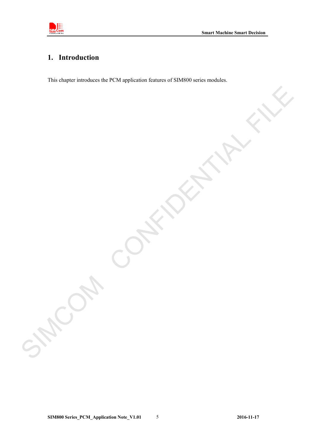

## <span id="page-4-0"></span>**1. Introduction**

This chapter introduces the PCM application features of SIM800 series modules.

**SIM800 Series\_PCM\_Application Note\_V1.01** 5 **2016-11-17** 

SIMCOM CONFIDENTIAL FILE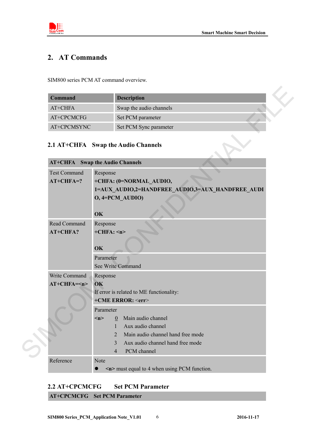

## <span id="page-5-0"></span>**2. AT Commands**

SIM800 series PCM AT command overview.

| <b>Command</b> | <b>Description</b>      |
|----------------|-------------------------|
| $AT+CHFA$      | Swap the audio channels |
| AT+CPCMCFG     | Set PCM parameter       |
| AT+CPCMSYNC    | Set PCM Sync parameter  |

#### <span id="page-5-1"></span>**2.1 AT+CHFA Swap the Audio Channels**

| <b>Command</b>      | <b>Description</b>                                 |
|---------------------|----------------------------------------------------|
| AT+CHFA             | Swap the audio channels                            |
| AT+CPCMCFG          | Set PCM parameter                                  |
| AT+CPCMSYNC         | Set PCM Sync parameter                             |
|                     | 2.1 AT+CHFA Swap the Audio Channels                |
| <b>AT+CHFA</b>      | <b>Swap the Audio Channels</b>                     |
| <b>Test Command</b> | Response                                           |
| $AT+CHFA=?$         | +CHFA: (0=NORMAL AUDIO,                            |
|                     | 1=AUX_AUDIO,2=HANDFREE_AUDIO,3=AUX_HANDFREE_AUDI   |
|                     | $O$ , 4=PCM AUDIO)                                 |
|                     | OK                                                 |
| Read Command        | Response                                           |
| AT+CHFA?            | $+CHFA$ : <n></n>                                  |
|                     | OK                                                 |
|                     | Parameter                                          |
|                     | See Write Command                                  |
| Write Command       | Response                                           |
| $AT+CHFA=n$         | OK                                                 |
|                     | If error is related to ME functionality:           |
|                     | +CME ERROR: <err></err>                            |
|                     | Parameter                                          |
|                     | Main audio channel<br>$\underline{0}$<br>m         |
|                     | Aux audio channel<br>1                             |
|                     | Main audio channel hand free mode<br>2             |
|                     | Aux audio channel hand free mode<br>3              |
|                     | PCM channel<br>$\overline{4}$                      |
| Reference           | Note                                               |
|                     | $\leq$ n> must equal to 4 when using PCM function. |

### **AT+CHFA Swap the Audio Channels**

<span id="page-5-2"></span>**2.2 AT+CPCMCFG Set PCM Parameter AT+CPCMCFG Set PCM Parameter**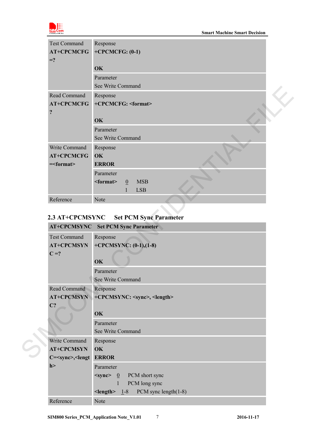

| <b>Test Command</b>                                    | Response                                                        |
|--------------------------------------------------------|-----------------------------------------------------------------|
| <b>AT+CPCMCFG</b><br>$=$ ?                             | $+CPCMCFG: (0-1)$                                               |
|                                                        | OK                                                              |
|                                                        | Parameter                                                       |
|                                                        | See Write Command                                               |
| Read Command                                           | Response                                                        |
| <b>AT+CPCMCFG</b><br>$\ddot{?}$                        | +CPCMCFG: <format></format>                                     |
|                                                        | OK                                                              |
|                                                        | Parameter                                                       |
|                                                        | See Write Command                                               |
| Write Command<br><b>AT+CPCMCFG</b><br>$=\text{format}$ | Response<br>OK<br><b>ERROR</b>                                  |
|                                                        | Parameter                                                       |
|                                                        | <b>MSB</b><br>$<$ format $>$<br>$\mathbf{0}$<br><b>LSB</b><br>1 |
| Reference                                              | Note                                                            |

#### <span id="page-6-0"></span>**2.3 AT+CPCMSYNC Set PCM Sync Parameter**

|                                                           | See write Command                               |
|-----------------------------------------------------------|-------------------------------------------------|
| Read Command                                              | Response                                        |
| <b>AT+CPCMCFG</b>                                         | +CPCMCFG: <format></format>                     |
| $\ddot{\cdot}$                                            |                                                 |
|                                                           | OK                                              |
|                                                           | Parameter                                       |
|                                                           | See Write Command                               |
| Write Command                                             | Response                                        |
| <b>AT+CPCMCFG</b>                                         | OK                                              |
| $=\text{format}$                                          | <b>ERROR</b>                                    |
|                                                           | Parameter                                       |
|                                                           | <b>MSB</b><br>$<$ format $>$<br>$\overline{0}$  |
|                                                           | <b>LSB</b><br>$\mathbf{1}$                      |
| Reference                                                 | Note                                            |
|                                                           |                                                 |
| 2.3 AT+CPCMSYNC                                           | <b>Set PCM Sync Parameter</b>                   |
|                                                           | <b>AT+CPCMSYNC</b> Set PCM Sync Parameter       |
|                                                           |                                                 |
| <b>Test Command</b>                                       | Response                                        |
| <b>AT+CPCMSYN</b>                                         | +CPCMSYNC: $(0-1)$ , $(1-8)$                    |
| $C = ?$                                                   |                                                 |
|                                                           | OK                                              |
|                                                           | Parameter                                       |
|                                                           | See Write Command                               |
| Read Command                                              | Response                                        |
| <b>AT+CPCMSYN</b>                                         | +CPCMSYNC: <sync>, <length></length></sync>     |
| $C$ ?                                                     |                                                 |
|                                                           | OK                                              |
|                                                           | Parameter                                       |
|                                                           | See Write Command                               |
| Write Command                                             | Response                                        |
| <b>AT+CPCMSYN</b>                                         | OK                                              |
| C= <sync>,<lengt error<="" td=""><td></td></lengt></sync> |                                                 |
| h                                                         | Parameter                                       |
|                                                           | $\leq$ sync> $\frac{0}{0}$ PCM short sync       |
|                                                           | PCM long sync<br>$\mathbf{1}$                   |
|                                                           | PCM sync length $(1-8)$<br>$\le$ length $> 1-8$ |
| Reference                                                 | Note                                            |
|                                                           |                                                 |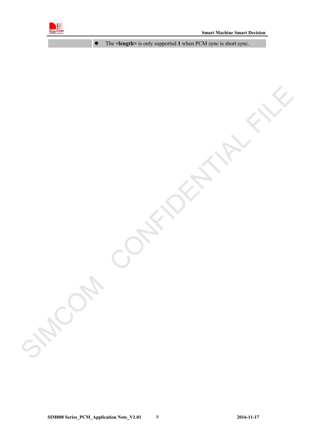

The **<length>** is only supported **1** when PCM sync is short sync.

SIMCOM CONFIDENTIAL FILE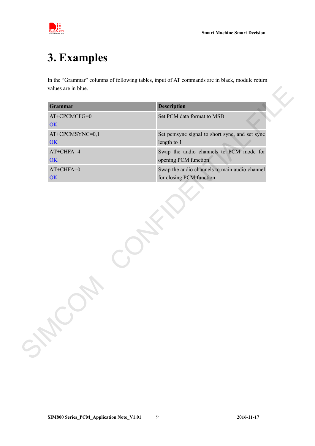

## <span id="page-8-0"></span>**3. Examples**

In the "Grammar" columns of following tables, input of AT commands are in black, module return values are in blue.

| <b>Grammar</b>        | <b>Description</b>                                                        |
|-----------------------|---------------------------------------------------------------------------|
| AT+CPCMCFG=0<br>OK    | Set PCM data format to MSB                                                |
| AT+CPCMSYNC=0,1<br>OK | Set pemsyne signal to short syne, and set syne<br>length to 1             |
| AT+CHFA=4<br>OK       | Swap the audio channels to PCM mode for<br>opening PCM function           |
| $AT+CHFA=0$<br>OK     | Swap the audio channels to main audio channel<br>for closing PCM function |
|                       |                                                                           |
|                       |                                                                           |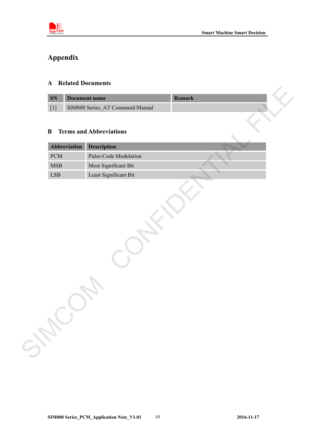

## <span id="page-9-0"></span>**Appendix**

#### <span id="page-9-1"></span>**A Related Documents**

| <b>SN</b> | Document name                   |  |  |
|-----------|---------------------------------|--|--|
|           | SIM800 Series AT Command Manual |  |  |

#### <span id="page-9-2"></span>**B Terms and Abbreviations**

| Abbreviation             | Description                                   |  |
|--------------------------|-----------------------------------------------|--|
| <b>PCM</b><br><b>MSB</b> | Pulse-Code Modulation<br>Most Significant Bit |  |
| LSB                      | Least Significant Bit                         |  |
|                          |                                               |  |
|                          |                                               |  |